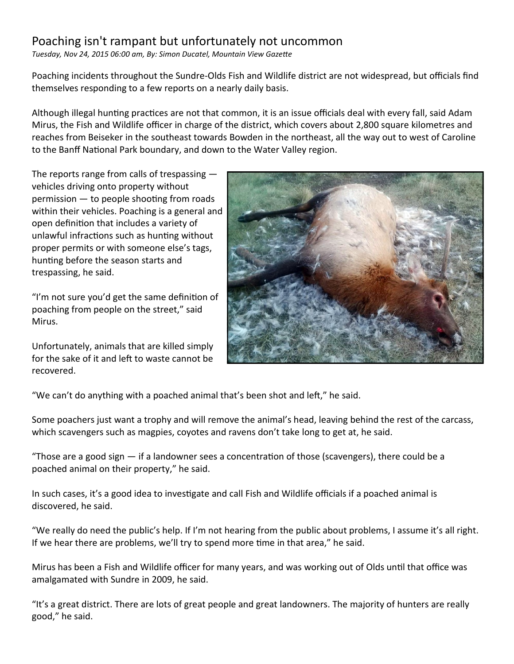## Poaching isn't rampant but unfortunately not uncommon

*Tuesday, Nov 24, 2015 06:00 am, By: Simon Ducatel, Mountain View Gazette*

Poaching incidents throughout the Sundre-Olds Fish and Wildlife district are not widespread, but officials find themselves responding to a few reports on a nearly daily basis.

Although illegal hunting practices are not that common, it is an issue officials deal with every fall, said Adam Mirus, the Fish and Wildlife officer in charge of the district, which covers about 2,800 square kilometres and reaches from Beiseker in the southeast towards Bowden in the northeast, all the way out to west of Caroline to the Banff National Park boundary, and down to the Water Valley region.

The reports range from calls of trespassing vehicles driving onto property without permission — to people shooting from roads within their vehicles. Poaching is a general and open definition that includes a variety of unlawful infractions such as hunting without proper permits or with someone else's tags, hunting before the season starts and trespassing, he said.

"I'm not sure you'd get the same definition of poaching from people on the street," said Mirus.

Unfortunately, animals that are killed simply for the sake of it and left to waste cannot be recovered.



"We can't do anything with a poached animal that's been shot and left," he said.

Some poachers just want a trophy and will remove the animal's head, leaving behind the rest of the carcass, which scavengers such as magpies, coyotes and ravens don't take long to get at, he said.

"Those are a good sign  $-$  if a landowner sees a concentration of those (scavengers), there could be a poached animal on their property," he said.

In such cases, it's a good idea to investigate and call Fish and Wildlife officials if a poached animal is discovered, he said.

"We really do need the public's help. If I'm not hearing from the public about problems, I assume it's all right. If we hear there are problems, we'll try to spend more time in that area," he said.

Mirus has been a Fish and Wildlife officer for many years, and was working out of Olds until that office was amalgamated with Sundre in 2009, he said.

"It's a great district. There are lots of great people and great landowners. The majority of hunters are really good," he said.